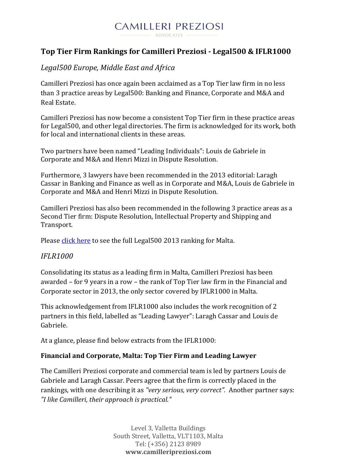#### **CAMILLERI PREZIOSI** ADVOCATES

# **Top Tier Firm Rankings for Camilleri Preziosi - Legal500 & IFLR1000**

# *Legal500 Europe, Middle East and Africa*

Camilleri Preziosi has once again been acclaimed as a Top Tier law firm in no less than 3 practice areas by Legal500: Banking and Finance, Corporate and M&A and Real Estate.

Camilleri Preziosi has now become a consistent Top Tier firm in these practice areas for Legal500, and other legal directories. The firm is acknowledged for its work, both for local and international clients in these areas.

Two partners have been named "Leading Individuals": Louis de Gabriele in Corporate and M&A and Henri Mizzi in Dispute Resolution.

Furthermore, 3 lawyers have been recommended in the 2013 editorial: Laragh Cassar in Banking and Finance as well as in Corporate and M&A, Louis de Gabriele in Corporate and M&A and Henri Mizzi in Dispute Resolution.

Camilleri Preziosi has also been recommended in the following 3 practice areas as a Second Tier firm: Dispute Resolution, Intellectual Property and Shipping and Transport.

Please [click here](http://www.legal500.com/firms/10105/10111) to see the full Legal500 2013 ranking for Malta.

### *IFLR1000*

Consolidating its status as a leading firm in Malta, Camilleri Preziosi has been awarded – for 9 years in a row – the rank of Top Tier law firm in the Financial and Corporate sector in 2013, the only sector covered by IFLR1000 in Malta.

This acknowledgement from IFLR1000 also includes the work recognition of 2 partners in this field, labelled as "Leading Lawyer": Laragh Cassar and Louis de Gabriele.

At a glance, please find below extracts from the IFLR1000:

### **Financial and Corporate, Malta: Top Tier Firm and Leading Lawyer**

The Camilleri Preziosi corporate and commercial team is led by partners Louis de Gabriele and Laragh Cassar. Peers agree that the firm is correctly placed in the rankings, with one describing it as *"very serious, very correct".* Another partner says: *"I like Camilleri, their approach is practical."*

> Level 3, Valletta Buildings South Street, Valletta, VLT1103, Malta Tel: (+356) 2123 8989 **www.camilleripreziosi.com**